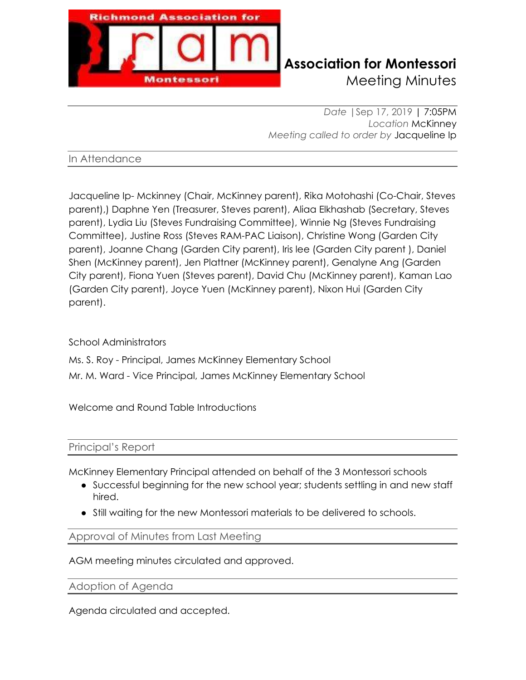

Meeting Minutes

*Date |*Sep 17, 2019 | 7:05PM *Location* McKinney *Meeting called to order by* Jacqueline Ip

#### In Attendance

Jacqueline Ip- Mckinney (Chair, McKinney parent), Rika Motohashi (Co-Chair, Steves parent),) Daphne Yen (Treasurer, Steves parent), Aliaa Elkhashab (Secretary, Steves parent), Lydia Liu (Steves Fundraising Committee), Winnie Ng (Steves Fundraising Committee), Justine Ross (Steves RAM-PAC Liaison), Christine Wong (Garden City parent), Joanne Chang (Garden City parent), Iris lee (Garden City parent ), Daniel Shen (McKinney parent), Jen Plattner (McKinney parent), Genalyne Ang (Garden City parent), Fiona Yuen (Steves parent), David Chu (McKinney parent), Kaman Lao (Garden City parent), Joyce Yuen (McKinney parent), Nixon Hui (Garden City parent).

#### School Administrators

Ms. S. Roy - Principal, James McKinney Elementary School Mr. M. Ward - Vice Principal, James McKinney Elementary School

Welcome and Round Table Introductions

#### Principal's Report

McKinney Elementary Principal attended on behalf of the 3 Montessori schools

- Successful beginning for the new school year; students settling in and new staff hired.
- Still waiting for the new Montessori materials to be delivered to schools.

Approval of Minutes from Last Meeting

AGM meeting minutes circulated and approved.

Adoption of Agenda

Agenda circulated and accepted.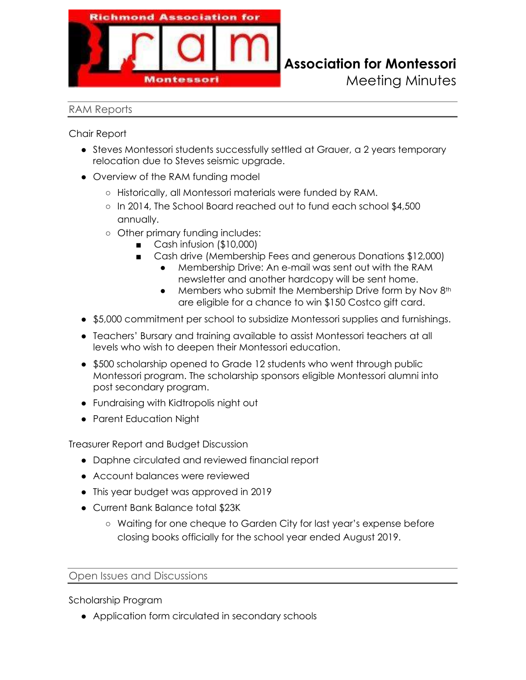

Meeting Minutes

#### RAM Reports

Chair Report

- Steves Montessori students successfully settled at Grauer, a 2 years temporary relocation due to Steves seismic upgrade.
- Overview of the RAM funding model
	- ʊ Historically, all Montessori materials were funded by RAM.
	- ʊ In 2014, The School Board reached out to fund each school \$4,500 annually.
	- o Other primary funding includes:
		- $\Box$  Cash infusion (\$10,000)
		- Cash drive (Membership Fees and generous Donations \$12,000)
			- Membership Drive: An e-mail was sent out with the RAM newsletter and another hardcopy will be sent home.
			- Members who submit the Membership Drive form by Nov 8th are eligible for a chance to win \$150 Costco gift card.
- \$5,000 commitment per school to subsidize Montessori supplies and furnishings.
- Teachers' Bursary and training available to assist Montessori teachers at all levels who wish to deepen their Montessori education.
- \$500 scholarship opened to Grade 12 students who went through public Montessori program. The scholarship sponsors eligible Montessori alumni into post secondary program.
- ŏ Fundraising with Kidtropolis night out
- Parent Education Night

Treasurer Report and Budget Discussion

- Daphne circulated and reviewed financial report
- Account balances were reviewed
- This year budget was approved in 2019
- Current Bank Balance total \$23K
	- o Waiting for one cheque to Garden City for last year's expense before closing books officially for the school year ended August 2019.

#### Open Issues and Discussions

#### Scholarship Program

• Application form circulated in secondary schools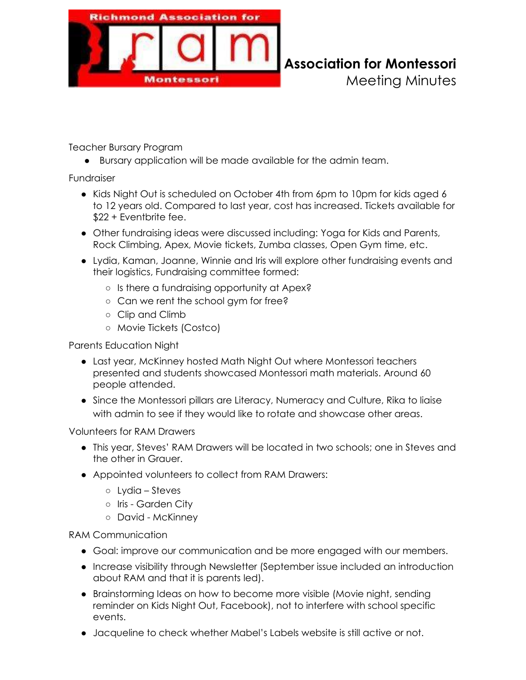

Meeting Minutes

Teacher Bursary Program

• Bursary application will be made available for the admin team.

Fundraiser

- Kids Night Out is scheduled on October 4th from 6pm to 10pm for kids aged 6 to 12 years old. Compared to last year, cost has increased. Tickets available for \$22 + Eventbrite fee.
- Other fundraising ideas were discussed including: Yoga for Kids and Parents, Rock Climbing, Apex, Movie tickets, Zumba classes, Open Gym time, etc.
- Lydia, Kaman, Joanne, Winnie and Iris will explore other fundraising events and their logistics, Fundraising committee formed:
	- o Is there a fundraising opportunity at Apex?
	- o Can we rent the school gym for free?
	- ʊ Clip and Climb
	- ʊ Movie Tickets (Costco)

Parents Education Night

- Last year, McKinney hosted Math Night Out where Montessori teachers presented and students showcased Montessori math materials. Around 60 people attended.
- Since the Montessori pillars are Literacy, Numeracy and Culture, Rika to liaise with admin to see if they would like to rotate and showcase other areas.

Volunteers for RAM Drawers

- This year, Steves' RAM Drawers will be located in two schools; one in Steves and the other in Grauer.
- Appointed volunteers to collect from RAM Drawers:
	- $\circ$  Lydia Steves
	- ʊ Iris Garden City
	- o David McKinney

RAM Communication

- Goal: improve our communication and be more engaged with our members.
- Increase visibility through Newsletter (September issue included an introduction about RAM and that it is parents led).
- Brainstorming Ideas on how to become more visible (Movie night, sending reminder on Kids Night Out, Facebook), not to interfere with school specific events.
- Jacqueline to check whether Mabel's Labels website is still active or not.